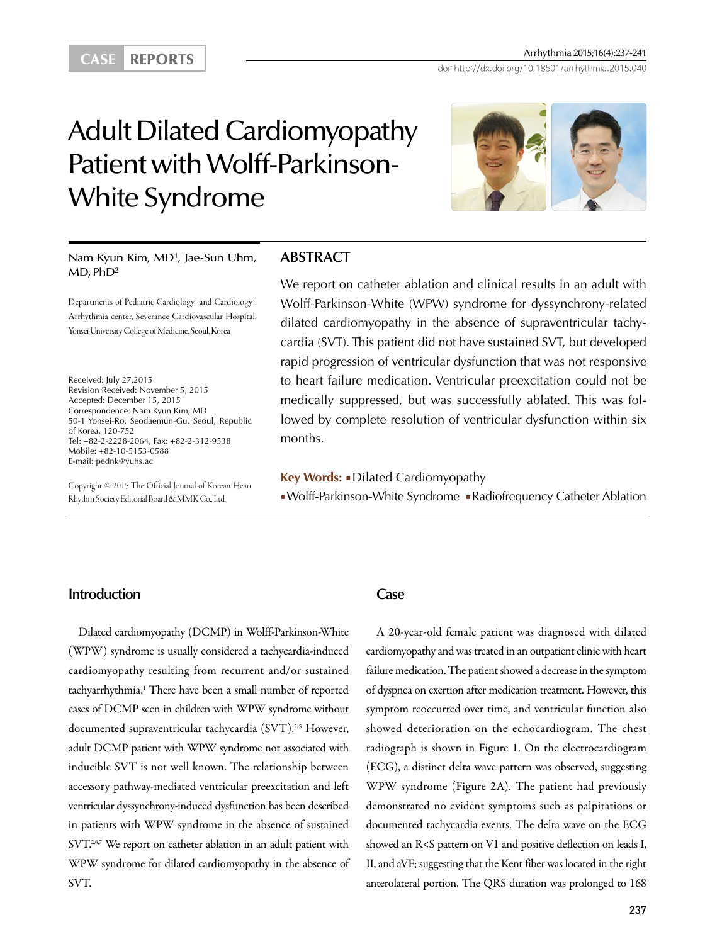Arrhythmia 2015;16(4):237-241<br>
CASE REPORTS doi: http://dx.doi.org/10.18501/arrhythmia.2015.040

# Adult Dilated Cardiomyopathy Patient with Wolff-Parkinson-White Syndrome



Nam Kyun Kim, MD1 , Jae-Sun Uhm,  $MD$ ,  $PhD<sup>2</sup>$ 

Departments of Pediatric Cardiology<sup>1</sup> and Cardiology<sup>2</sup>, Arrhythmia center, Severance Cardiovascular Hospital, Yonsei University College of Medicine, Seoul, Korea

Received: July 27,2015 Revision Received: November 5, 2015 Accepted: December 15, 2015 Correspondence: Nam Kyun Kim, MD 50-1 Yonsei-Ro, Seodaemun-Gu, Seoul, Republic of Korea, 120-752 Tel: +82-2-2228-2064, Fax: +82-2-312-9538 Mobile: +82-10-5153-0588 E-mail: pednk@yuhs.ac

Copyright © 2015 The Official Journal of Korean Heart Rhythm Society Editorial Board & MMK Co., Ltd.

### **ABSTRACT**

We report on catheter ablation and clinical results in an adult with Wolff-Parkinson-White (WPW) syndrome for dyssynchrony-related dilated cardiomyopathy in the absence of supraventricular tachycardia (SVT). This patient did not have sustained SVT, but developed rapid progression of ventricular dysfunction that was not responsive to heart failure medication. Ventricular preexcitation could not be medically suppressed, but was successfully ablated. This was followed by complete resolution of ventricular dysfunction within six months.

**Key Words:** ■Dilated Cardiomyopathy ■ Wolff-Parkinson-White Syndrome ■Radiofrequency Catheter Ablation

# **Introduction**

Dilated cardiomyopathy (DCMP) in Wolff-Parkinson-White (WPW) syndrome is usually considered a tachycardia-induced cardiomyopathy resulting from recurrent and/or sustained tachyarrhythmia.1 There have been a small number of reported cases of DCMP seen in children with WPW syndrome without documented supraventricular tachycardia (SVT).<sup>2-5</sup> However, adult DCMP patient with WPW syndrome not associated with inducible SVT is not well known. The relationship between accessory pathway-mediated ventricular preexcitation and left ventricular dyssynchrony-induced dysfunction has been described in patients with WPW syndrome in the absence of sustained SVT.<sup>2,6,7</sup> We report on catheter ablation in an adult patient with WPW syndrome for dilated cardiomyopathy in the absence of SVT.

#### **Case**

A 20-year-old female patient was diagnosed with dilated cardiomyopathy and was treated in an outpatient clinic with heart failure medication. The patient showed a decrease in the symptom of dyspnea on exertion after medication treatment. However, this symptom reoccurred over time, and ventricular function also showed deterioration on the echocardiogram. The chest radiograph is shown in Figure 1. On the electrocardiogram (ECG), a distinct delta wave pattern was observed, suggesting WPW syndrome (Figure 2A). The patient had previously demonstrated no evident symptoms such as palpitations or documented tachycardia events. The delta wave on the ECG showed an R<S pattern on V1 and positive deflection on leads I, II, and aVF; suggesting that the Kent fiber was located in the right anterolateral portion. The QRS duration was prolonged to 168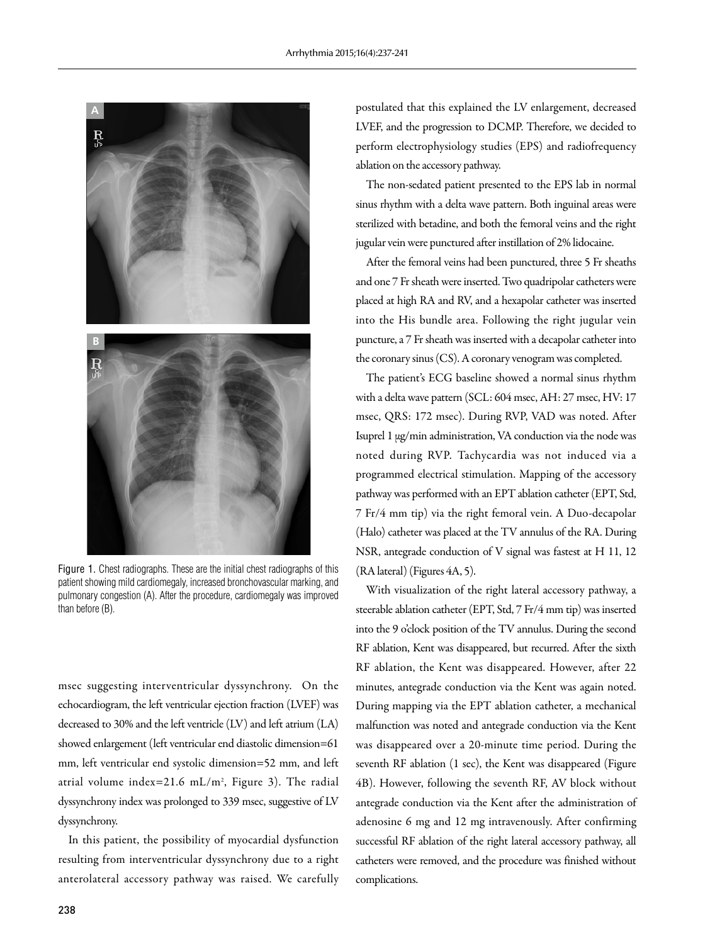

Figure 1. Chest radiographs. These are the initial chest radiographs of this patient showing mild cardiomegaly, increased bronchovascular marking, and pulmonary congestion (A). After the procedure, cardiomegaly was improved than before (B).

msec suggesting interventricular dyssynchrony. On the echocardiogram, the left ventricular ejection fraction (LVEF) was decreased to 30% and the left ventricle (LV) and left atrium (LA) showed enlargement (left ventricular end diastolic dimension=61 mm, left ventricular end systolic dimension=52 mm, and left atrial volume index=21.6 mL/m2 , Figure 3). The radial dyssynchrony index was prolonged to 339 msec, suggestive of LV dyssynchrony.

In this patient, the possibility of myocardial dysfunction resulting from interventricular dyssynchrony due to a right anterolateral accessory pathway was raised. We carefully postulated that this explained the LV enlargement, decreased LVEF, and the progression to DCMP. Therefore, we decided to perform electrophysiology studies (EPS) and radiofrequency ablation on the accessory pathway.

The non-sedated patient presented to the EPS lab in normal sinus rhythm with a delta wave pattern. Both inguinal areas were sterilized with betadine, and both the femoral veins and the right jugular vein were punctured after instillation of 2% lidocaine.

After the femoral veins had been punctured, three 5 Fr sheaths and one 7 Fr sheath were inserted. Two quadripolar catheters were placed at high RA and RV, and a hexapolar catheter was inserted into the His bundle area. Following the right jugular vein puncture, a 7 Fr sheath was inserted with a decapolar catheter into the coronary sinus (CS). A coronary venogram was completed.

The patient's ECG baseline showed a normal sinus rhythm with a delta wave pattern (SCL: 604 msec, AH: 27 msec, HV: 17 msec, QRS: 172 msec). During RVP, VAD was noted. After Isuprel 1 μg/min administration, VA conduction via the node was noted during RVP. Tachycardia was not induced via a programmed electrical stimulation. Mapping of the accessory pathway was performed with an EPT ablation catheter (EPT, Std, 7 Fr/4 mm tip) via the right femoral vein. A Duo-decapolar (Halo) catheter was placed at the TV annulus of the RA. During NSR, antegrade conduction of V signal was fastest at H 11, 12 (RA lateral) (Figures 4A, 5).

With visualization of the right lateral accessory pathway, a steerable ablation catheter (EPT, Std, 7 Fr/4 mm tip) was inserted into the 9 o'clock position of the TV annulus. During the second RF ablation, Kent was disappeared, but recurred. After the sixth RF ablation, the Kent was disappeared. However, after 22 minutes, antegrade conduction via the Kent was again noted. During mapping via the EPT ablation catheter, a mechanical malfunction was noted and antegrade conduction via the Kent was disappeared over a 20-minute time period. During the seventh RF ablation (1 sec), the Kent was disappeared (Figure 4B). However, following the seventh RF, AV block without antegrade conduction via the Kent after the administration of adenosine 6 mg and 12 mg intravenously. After confirming successful RF ablation of the right lateral accessory pathway, all catheters were removed, and the procedure was finished without complications.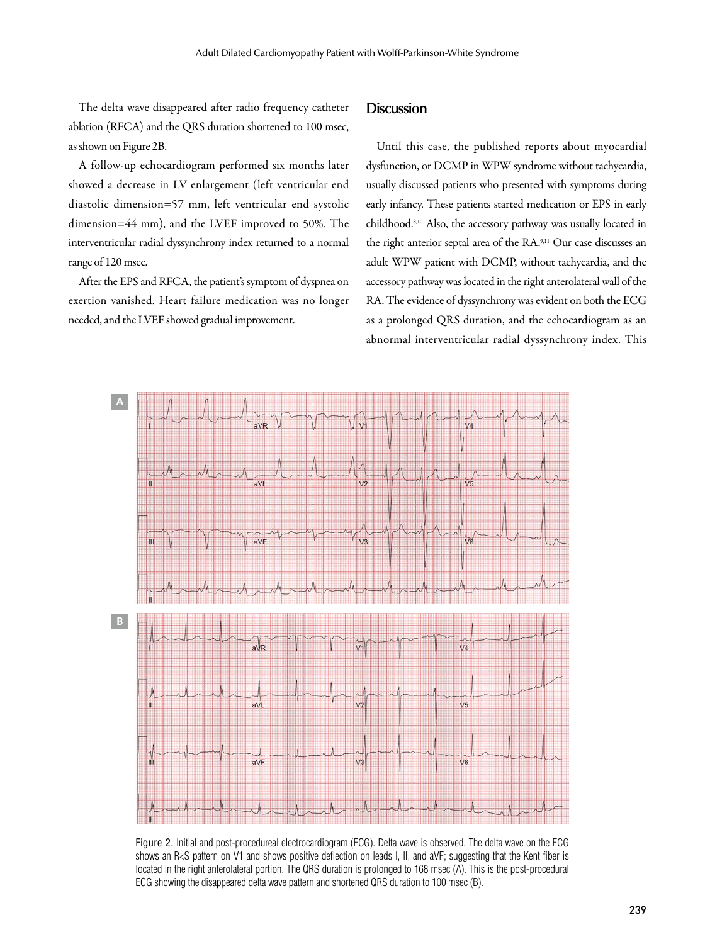The delta wave disappeared after radio frequency catheter ablation (RFCA) and the QRS duration shortened to 100 msec, as shown on Figure 2B.

A follow-up echocardiogram performed six months later showed a decrease in LV enlargement (left ventricular end diastolic dimension=57 mm, left ventricular end systolic dimension=44 mm), and the LVEF improved to 50%. The interventricular radial dyssynchrony index returned to a normal range of 120 msec.

After the EPS and RFCA, the patient's symptom of dyspnea on exertion vanished. Heart failure medication was no longer needed, and the LVEF showed gradual improvement.

# **Discussion**

Until this case, the published reports about myocardial dysfunction, or DCMP in WPW syndrome without tachycardia, usually discussed patients who presented with symptoms during early infancy. These patients started medication or EPS in early childhood.8,10 Also, the accessory pathway was usually located in the right anterior septal area of the RA.9,11 Our case discusses an adult WPW patient with DCMP, without tachycardia, and the accessory pathway was located in the right anterolateral wall of the RA. The evidence of dyssynchrony was evident on both the ECG as a prolonged QRS duration, and the echocardiogram as an abnormal interventricular radial dyssynchrony index. This



Figure 2. Initial and post-procedureal electrocardiogram (ECG). Delta wave is observed. The delta wave on the ECG shows an R<S pattern on V1 and shows positive deflection on leads I, II, and aVF; suggesting that the Kent fiber is located in the right anterolateral portion. The QRS duration is prolonged to 168 msec (A). This is the post-procedural ECG showing the disappeared delta wave pattern and shortened QRS duration to 100 msec (B).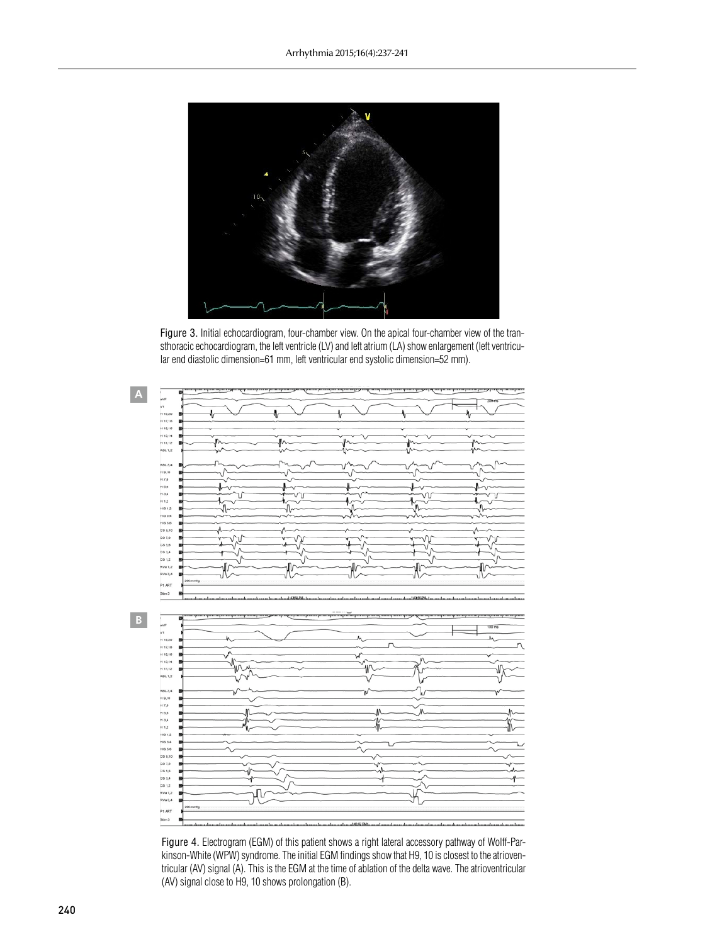

Figure 3. Initial echocardiogram, four-chamber view. On the apical four-chamber view of the transthoracic echocardiogram, the left ventricle (LV) and left atrium (LA) show enlargement (left ventricular end diastolic dimension=61 mm, left ventricular end systolic dimension=52 mm).



Figure 4. Electrogram (EGM) of this patient shows a right lateral accessory pathway of Wolff-Parkinson-White (WPW) syndrome. The initial EGM findings show that H9, 10 is closest to the atrioventricular (AV) signal (A). This is the EGM at the time of ablation of the delta wave. The atrioventricular (AV) signal close to H9, 10 shows prolongation (B).